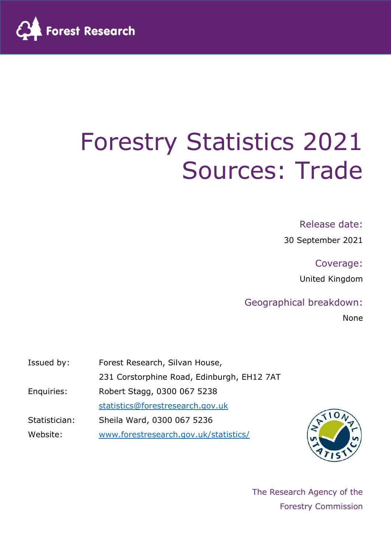

# Forestry Statistics 2021 Sources: Trade

#### Release date:

30 September 2021

#### Coverage:

United Kingdom

#### Geographical breakdown:

None

| Issued by:    | Forest Research, Silvan House,             |
|---------------|--------------------------------------------|
|               | 231 Corstorphine Road, Edinburgh, EH12 7AT |
| Enquiries:    | Robert Stagg, 0300 067 5238                |
|               | statistics@forestresearch.gov.uk           |
| Statistician: | Sheila Ward, 0300 067 5236                 |
| Website:      | www.forestresearch.gov.uk/statistics/      |



The Research Agency of the Forestry Commission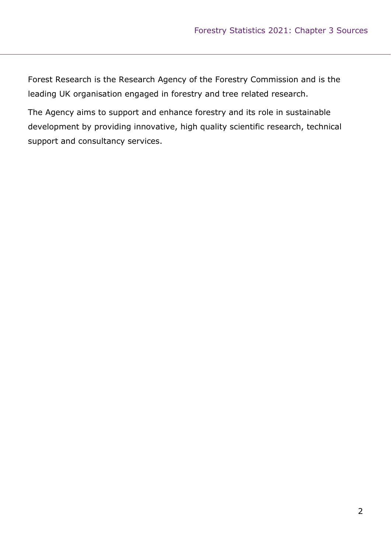Forest Research is the Research Agency of the Forestry Commission and is the leading UK organisation engaged in forestry and tree related research.

The Agency aims to support and enhance forestry and its role in sustainable development by providing innovative, high quality scientific research, technical support and consultancy services.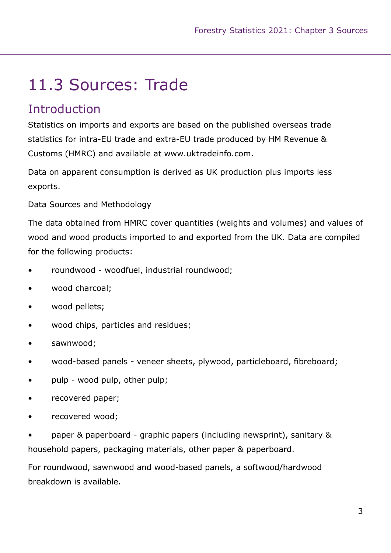## 11.3 Sources: Trade

### **Introduction**

Statistics on imports and exports are based on the published overseas trade statistics for intra-EU trade and extra-EU trade produced by HM Revenue & Customs (HMRC) and available at www.uktradeinfo.com.

Data on apparent consumption is derived as UK production plus imports less exports.

Data Sources and Methodology

The data obtained from HMRC cover quantities (weights and volumes) and values of wood and wood products imported to and exported from the UK. Data are compiled for the following products:

- roundwood woodfuel, industrial roundwood;
- wood charcoal;
- wood pellets;
- wood chips, particles and residues;
- sawnwood;
- wood-based panels veneer sheets, plywood, particleboard, fibreboard;
- pulp wood pulp, other pulp;
- recovered paper;
- recovered wood;

• paper & paperboard - graphic papers (including newsprint), sanitary & household papers, packaging materials, other paper & paperboard.

For roundwood, sawnwood and wood-based panels, a softwood/hardwood breakdown is available.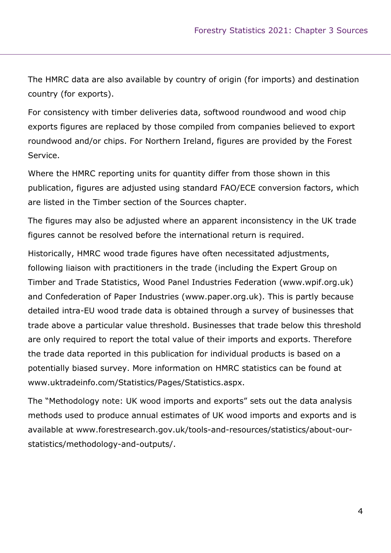The HMRC data are also available by country of origin (for imports) and destination country (for exports).

For consistency with timber deliveries data, softwood roundwood and wood chip exports figures are replaced by those compiled from companies believed to export roundwood and/or chips. For Northern Ireland, figures are provided by the Forest Service.

Where the HMRC reporting units for quantity differ from those shown in this publication, figures are adjusted using standard FAO/ECE conversion factors, which are listed in the Timber section of the Sources chapter.

The figures may also be adjusted where an apparent inconsistency in the UK trade figures cannot be resolved before the international return is required.

Historically, HMRC wood trade figures have often necessitated adjustments, following liaison with practitioners in the trade (including the Expert Group on Timber and Trade Statistics, Wood Panel Industries Federation (www.wpif.org.uk) and Confederation of Paper Industries (www.paper.org.uk). This is partly because detailed intra-EU wood trade data is obtained through a survey of businesses that trade above a particular value threshold. Businesses that trade below this threshold are only required to report the total value of their imports and exports. Therefore the trade data reported in this publication for individual products is based on a potentially biased survey. More information on HMRC statistics can be found at www.uktradeinfo.com/Statistics/Pages/Statistics.aspx.

The "Methodology note: UK wood imports and exports" sets out the data analysis methods used to produce annual estimates of UK wood imports and exports and is available at www.forestresearch.gov.uk/tools-and-resources/statistics/about-ourstatistics/methodology-and-outputs/.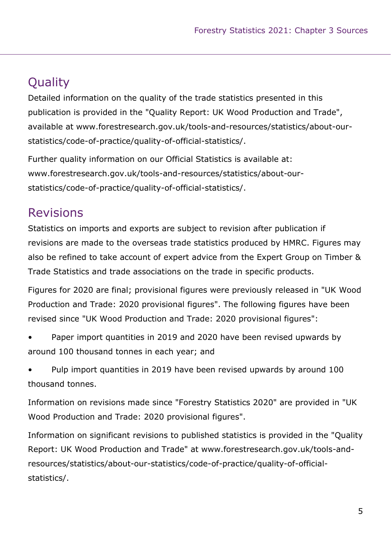### **Quality**

Detailed information on the quality of the trade statistics presented in this publication is provided in the "Quality Report: UK Wood Production and Trade", available at www.forestresearch.gov.uk/tools-and-resources/statistics/about-ourstatistics/code-of-practice/quality-of-official-statistics/.

Further quality information on our Official Statistics is available at: www.forestresearch.gov.uk/tools-and-resources/statistics/about-ourstatistics/code-of-practice/quality-of-official-statistics/.

### Revisions

Statistics on imports and exports are subject to revision after publication if revisions are made to the overseas trade statistics produced by HMRC. Figures may also be refined to take account of expert advice from the Expert Group on Timber & Trade Statistics and trade associations on the trade in specific products.

Figures for 2020 are final; provisional figures were previously released in "UK Wood Production and Trade: 2020 provisional figures". The following figures have been revised since "UK Wood Production and Trade: 2020 provisional figures":

• Paper import quantities in 2019 and 2020 have been revised upwards by around 100 thousand tonnes in each year; and

• Pulp import quantities in 2019 have been revised upwards by around 100 thousand tonnes.

Information on revisions made since "Forestry Statistics 2020" are provided in "UK Wood Production and Trade: 2020 provisional figures".

Information on significant revisions to published statistics is provided in the "Quality Report: UK Wood Production and Trade" at www.forestresearch.gov.uk/tools-andresources/statistics/about-our-statistics/code-of-practice/quality-of-officialstatistics/.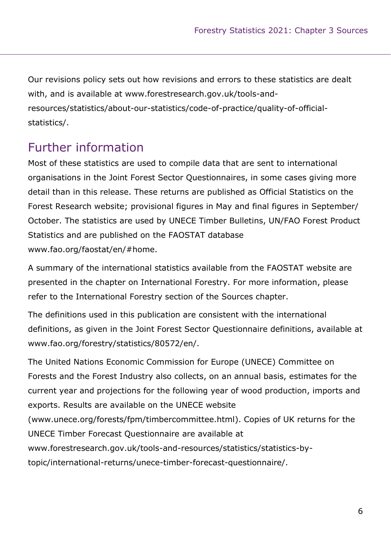Our revisions policy sets out how revisions and errors to these statistics are dealt with, and is available at www.forestresearch.gov.uk/tools-andresources/statistics/about-our-statistics/code-of-practice/quality-of-officialstatistics/.

### Further information

Most of these statistics are used to compile data that are sent to international organisations in the Joint Forest Sector Questionnaires, in some cases giving more detail than in this release. These returns are published as Official Statistics on the Forest Research website; provisional figures in May and final figures in September/ October. The statistics are used by UNECE Timber Bulletins, UN/FAO Forest Product Statistics and are published on the FAOSTAT database www.fao.org/faostat/en/#home.

A summary of the international statistics available from the FAOSTAT website are presented in the chapter on International Forestry. For more information, please refer to the International Forestry section of the Sources chapter.

The definitions used in this publication are consistent with the international definitions, as given in the Joint Forest Sector Questionnaire definitions, available at www.fao.org/forestry/statistics/80572/en/.

The United Nations Economic Commission for Europe (UNECE) Committee on Forests and the Forest Industry also collects, on an annual basis, estimates for the current year and projections for the following year of wood production, imports and exports. Results are available on the UNECE website (www.unece.org/forests/fpm/timbercommittee.html). Copies of UK returns for the UNECE Timber Forecast Questionnaire are available at www.forestresearch.gov.uk/tools-and-resources/statistics/statistics-by-

topic/international-returns/unece-timber-forecast-questionnaire/.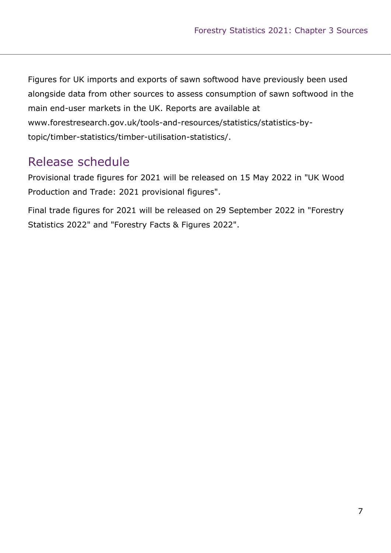Figures for UK imports and exports of sawn softwood have previously been used alongside data from other sources to assess consumption of sawn softwood in the main end-user markets in the UK. Reports are available at www.forestresearch.gov.uk/tools-and-resources/statistics/statistics-bytopic/timber-statistics/timber-utilisation-statistics/.

### Release schedule

Provisional trade figures for 2021 will be released on 15 May 2022 in "UK Wood Production and Trade: 2021 provisional figures".

Final trade figures for 2021 will be released on 29 September 2022 in "Forestry Statistics 2022" and "Forestry Facts & Figures 2022".